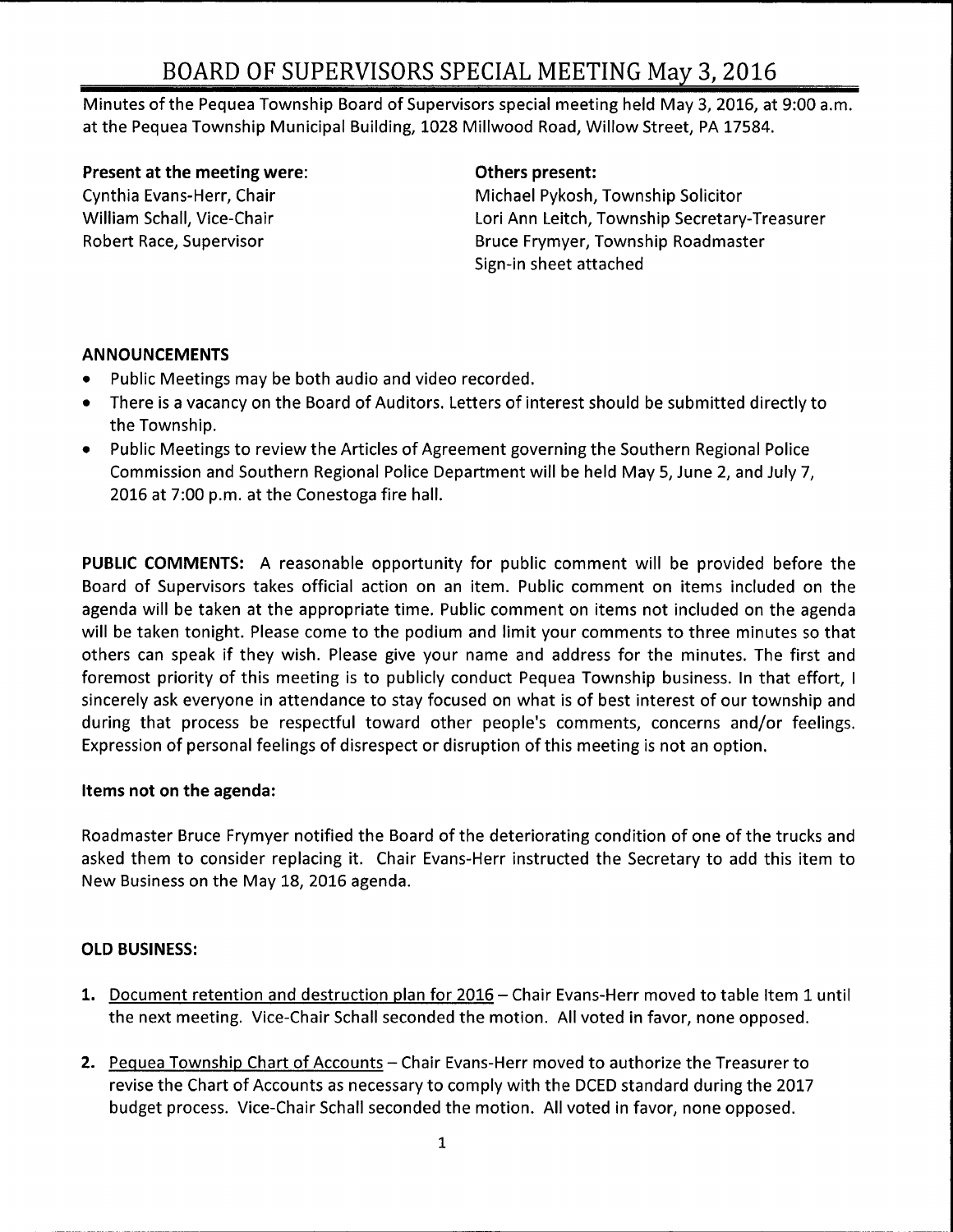# BOARD OF SUPERVISORS SPECIAL MEETING May 3, 2016

Minutes of the Pequea Township Board of Supervisors special meeting held May 3, 2016, at 9:00 a.m. at the Pequea Township Municipal Building, 1028 Millwood Road, Willow Street, PA 17584.

#### Present at the meeting were: The method of Definition of Definition of Present:

Cynthia Evans-Herr, Chair **Michael Pykosh, Township Solicitor** Michael Pykosh, Township Solicitor William Schall, Vice-Chair Lori Ann Leitch, Township Secretary-Treasurer Robert Race, Supervisor **Bruce Frymyer, Township Roadmaster** Bruce Frymyer, Township Roadmaster Sign-in sheet attached

### ANNOUNCEMENTS

- Public Meetings may be both audio and video recorded.  $\bullet$
- There is <sup>a</sup> vacancy on the Board of Auditors. Letters of interest should be submitted directly to  $\bullet$ the Township.
- Public Meetings to review the Articles of Agreement governing the Southern Regional Police  $\bullet$ Commission and Southern Regional Police Department will be held May 5, June 2, and July 7, 2016 at 7:00 p.m. at the Conestoga fire hall.

PUBLIC COMMENTS: A reasonable opportunity for public comment will be provided before the Board of Supervisors takes official action on an item. Public comment on items included on the agenda will be taken at the appropriate time. Public comment on items not included on the agenda will be taken tonight. Please come to the podium and limit your comments to three minutes so that others can speak if they wish. Please give your name and address for the minutes. The first and foremost priority of this meeting is to publicly conduct Pequea Township business. In that effort, I sincerely ask everyone in attendance to stay focused on what is of best interest of our township and during that process be respectful toward other people's comments, concerns and/or feelings. Expression of personal feelings of disrespect or disruption of this meeting is not an option.

#### Items not on the agenda:

Roadmaster Bruce Frymyer notified the Board of the deteriorating condition of one of the trucks and asked them to consider replacing it. Chair Evans- Herr instructed the Secretary to add this item to New Business on the May 18, 2016 agenda.

### OLD BUSINESS:

- 1. Document retention and destruction plan for 2016— Chair Evans- Herr moved to table Item <sup>1</sup> until the next meeting. Vice-Chair Schall seconded the motion. All voted in favor, none opposed.
- 2. Pequea Township Chart of Accounts— Chair Evans- Herr moved to authorize the Treasurer to revise the Chart of Accounts as necessary to comply with the DCED standard during the 2017 budget process. Vice-Chair Schall seconded the motion. All voted in favor, none opposed.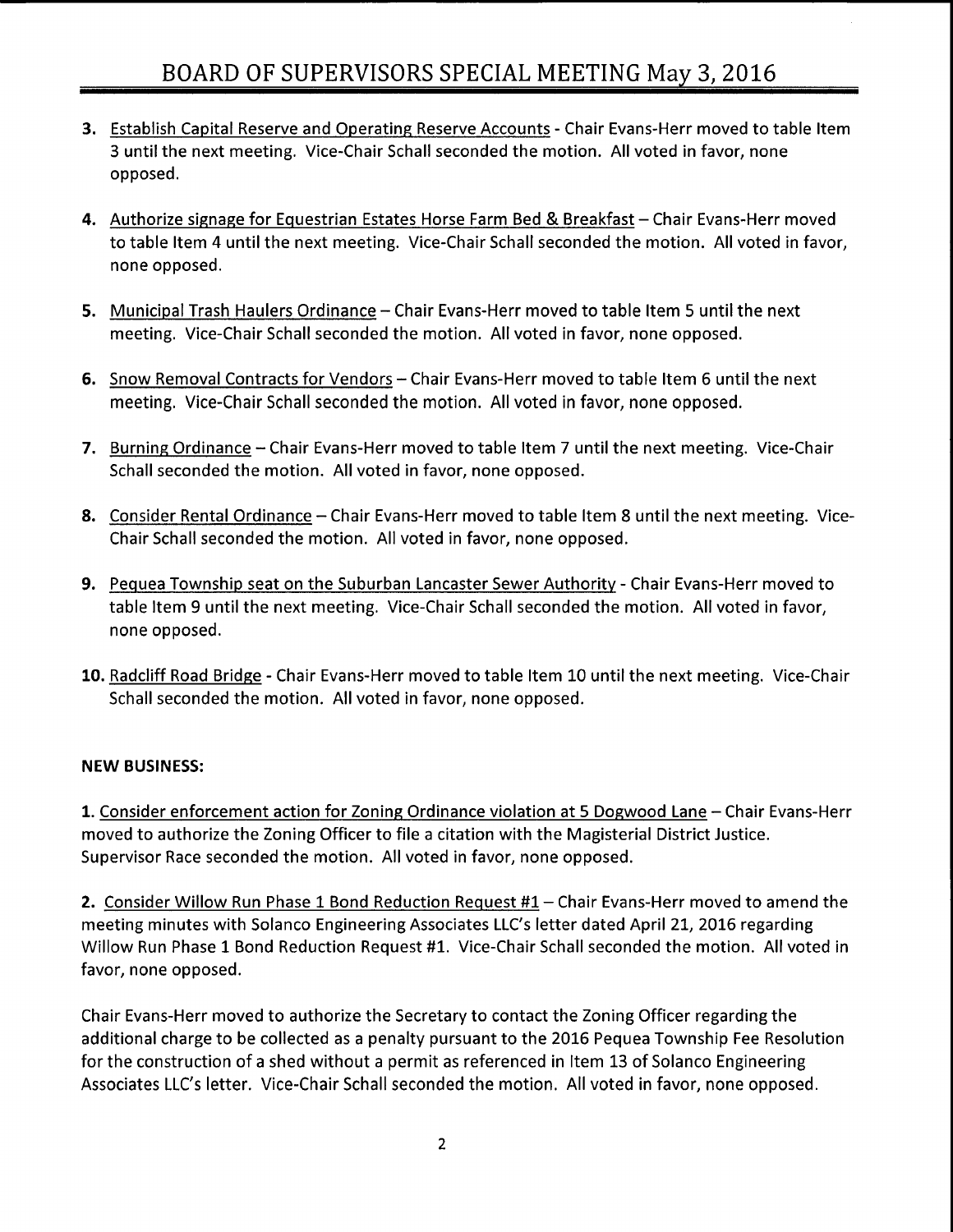- 3. Establish Capital Reserve and Operating Reserve Accounts Chair Evans-Herr moved to table Item 3 until the next meeting. Vice- Chair Schall seconded the motion. All voted in favor, none opposed.
- 4. Authorize signage for Equestrian Estates Horse Farm Bed & Breakfast Chair Evans-Herr moved to table Item 4 until the next meeting. Vice-Chair Schall seconded the motion. All voted in favor, none opposed.
- 5. Municipal Trash Haulers Ordinance— Chair Evans- Herr moved to table Item 5 until the next meeting. Vice-Chair Schall seconded the motion. All voted in favor, none opposed.
- 6. Snow Removal Contracts for Vendors— Chair Evans- Herr moved to table Item 6 until the next meeting. Vice-Chair Schall seconded the motion. All voted in favor, none opposed.
- 7. Burning Ordinance Chair Evans-Herr moved to table Item 7 until the next meeting. Vice-Chair Schall seconded the motion. All voted in favor, none opposed.
- 8. Consider Rental Ordinance Chair Evans-Herr moved to table Item 8 until the next meeting. Vice-Chair Schall seconded the motion. All voted in favor, none opposed.
- 9. Pequea Township seat on the Suburban Lancaster Sewer Authority- Chair Evans- Herr moved to table Item 9 until the next meeting. Vice-Chair Schall seconded the motion. All voted in favor, none opposed.
- 10. Radcliff Road Bridge Chair Evans-Herr moved to table Item 10 until the next meeting. Vice-Chair Schall seconded the motion. All voted in favor, none opposed.

#### NEW BUSINESS:

1. Consider enforcement action for Zoning Ordinance violation at 5 Dogwood Lane - Chair Evans-Herr moved to authorize the Zoning Officer to file <sup>a</sup> citation with the Magisterial District Justice. Supervisor Race seconded the motion. All voted in favor, none opposed.

2. Consider Willow Run Phase 1 Bond Reduction Request #1 - Chair Evans-Herr moved to amend the meeting minutes with Solanco Engineering Associates LLC's letter dated April 21, 2016 regarding Willow Run Phase 1 Bond Reduction Request #1. Vice-Chair Schall seconded the motion. All voted in favor, none opposed.

Chair Evans- Herr moved to authorize the Secretary to contact the Zoning Officer regarding the additional charge to be collected as <sup>a</sup> penalty pursuant to the 2016 Pequea Township Fee Resolution for the construction of <sup>a</sup> shed without <sup>a</sup> permit as referenced in Item 13 of Solanco Engineering Associates LLC's letter. Vice-Chair Schall seconded the motion. All voted in favor, none opposed.